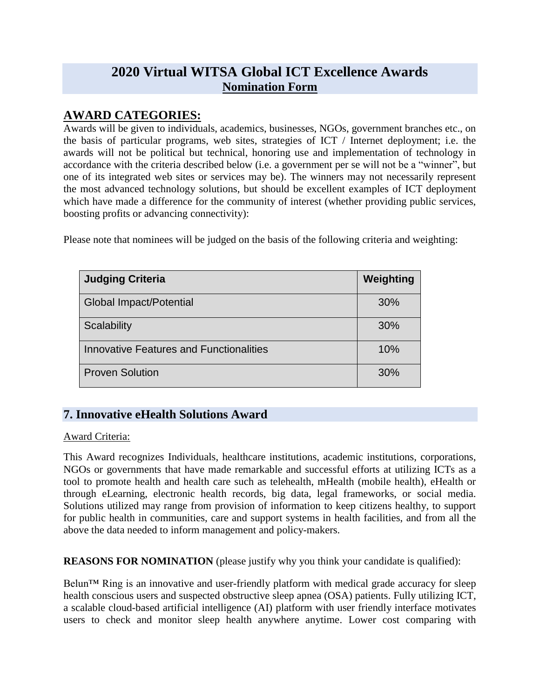# **2020 Virtual WITSA Global ICT Excellence Awards Nomination Form**

### **AWARD CATEGORIES:**

Awards will be given to individuals, academics, businesses, NGOs, government branches etc., on the basis of particular programs, web sites, strategies of ICT / Internet deployment; i.e. the awards will not be political but technical, honoring use and implementation of technology in accordance with the criteria described below (i.e. a government per se will not be a "winner", but one of its integrated web sites or services may be). The winners may not necessarily represent the most advanced technology solutions, but should be excellent examples of ICT deployment which have made a difference for the community of interest (whether providing public services, boosting profits or advancing connectivity):

| <b>Judging Criteria</b>                 | Weighting |
|-----------------------------------------|-----------|
| <b>Global Impact/Potential</b>          | 30%       |
| Scalability                             | 30%       |
| Innovative Features and Functionalities | 10%       |
| <b>Proven Solution</b>                  | 30%       |

Please note that nominees will be judged on the basis of the following criteria and weighting:

# **7. Innovative eHealth Solutions Award**

### Award Criteria:

This Award recognizes Individuals, healthcare institutions, academic institutions, corporations, NGOs or governments that have made remarkable and successful efforts at utilizing ICTs as a tool to promote health and health care such as telehealth, mHealth (mobile health), eHealth or through eLearning, electronic health records, big data, legal frameworks, or social media. Solutions utilized may range from provision of information to keep citizens healthy, to support for public health in communities, care and support systems in health facilities, and from all the above the data needed to inform management and policy-makers.

**REASONS FOR NOMINATION** (please justify why you think your candidate is qualified):

Belun™ Ring is an innovative and user-friendly platform with medical grade accuracy for sleep health conscious users and suspected obstructive sleep apnea (OSA) patients. Fully utilizing ICT, a scalable cloud-based artificial intelligence (AI) platform with user friendly interface motivates users to check and monitor sleep health anywhere anytime. Lower cost comparing with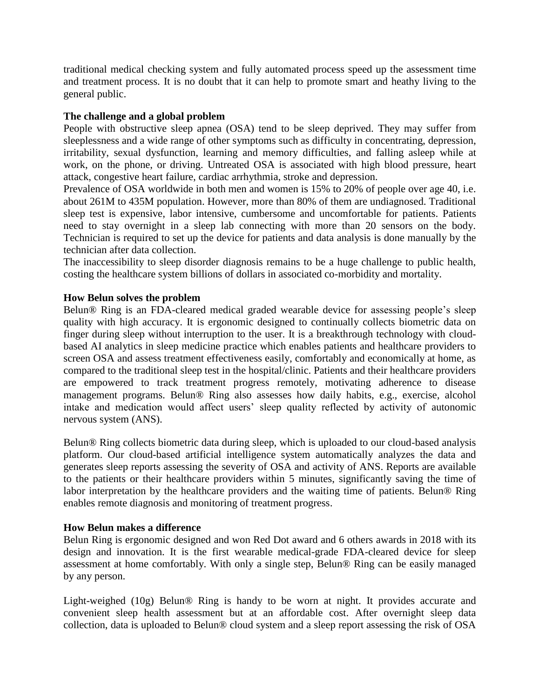traditional medical checking system and fully automated process speed up the assessment time and treatment process. It is no doubt that it can help to promote smart and heathy living to the general public.

#### **The challenge and a global problem**

People with obstructive sleep apnea (OSA) tend to be sleep deprived. They may suffer from sleeplessness and a wide range of other symptoms such as difficulty in concentrating, depression, irritability, sexual dysfunction, learning and memory difficulties, and falling asleep while at work, on the phone, or driving. Untreated OSA is associated with high blood pressure, heart attack, congestive heart failure, cardiac arrhythmia, stroke and depression.

Prevalence of OSA worldwide in both men and women is 15% to 20% of people over age 40, i.e. about 261M to 435M population. However, more than 80% of them are undiagnosed. Traditional sleep test is expensive, labor intensive, cumbersome and uncomfortable for patients. Patients need to stay overnight in a sleep lab connecting with more than 20 sensors on the body. Technician is required to set up the device for patients and data analysis is done manually by the technician after data collection.

The inaccessibility to sleep disorder diagnosis remains to be a huge challenge to public health, costing the healthcare system billions of dollars in associated co-morbidity and mortality.

#### **How Belun solves the problem**

Belun® Ring is an FDA-cleared medical graded wearable device for assessing people's sleep quality with high accuracy. It is ergonomic designed to continually collects biometric data on finger during sleep without interruption to the user. It is a breakthrough technology with cloudbased AI analytics in sleep medicine practice which enables patients and healthcare providers to screen OSA and assess treatment effectiveness easily, comfortably and economically at home, as compared to the traditional sleep test in the hospital/clinic. Patients and their healthcare providers are empowered to track treatment progress remotely, motivating adherence to disease management programs. Belun® Ring also assesses how daily habits, e.g., exercise, alcohol intake and medication would affect users' sleep quality reflected by activity of autonomic nervous system (ANS).

Belun® Ring collects biometric data during sleep, which is uploaded to our cloud-based analysis platform. Our cloud-based artificial intelligence system automatically analyzes the data and generates sleep reports assessing the severity of OSA and activity of ANS. Reports are available to the patients or their healthcare providers within 5 minutes, significantly saving the time of labor interpretation by the healthcare providers and the waiting time of patients. Belun® Ring enables remote diagnosis and monitoring of treatment progress.

#### **How Belun makes a difference**

Belun Ring is ergonomic designed and won Red Dot award and 6 others awards in 2018 with its design and innovation. It is the first wearable medical-grade FDA-cleared device for sleep assessment at home comfortably. With only a single step, Belun® Ring can be easily managed by any person.

Light-weighed (10g) Belun® Ring is handy to be worn at night. It provides accurate and convenient sleep health assessment but at an affordable cost. After overnight sleep data collection, data is uploaded to Belun® cloud system and a sleep report assessing the risk of OSA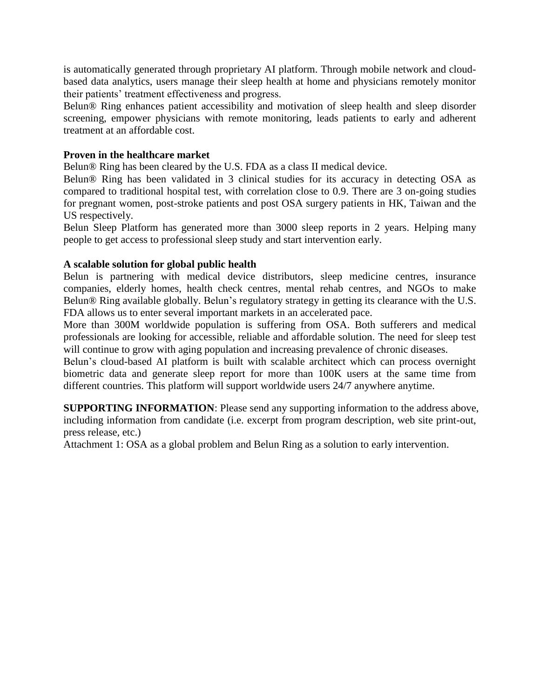is automatically generated through proprietary AI platform. Through mobile network and cloudbased data analytics, users manage their sleep health at home and physicians remotely monitor their patients' treatment effectiveness and progress.

Belun® Ring enhances patient accessibility and motivation of sleep health and sleep disorder screening, empower physicians with remote monitoring, leads patients to early and adherent treatment at an affordable cost.

#### **Proven in the healthcare market**

Belun® Ring has been cleared by the U.S. FDA as a class II medical device.

Belun® Ring has been validated in 3 clinical studies for its accuracy in detecting OSA as compared to traditional hospital test, with correlation close to 0.9. There are 3 on-going studies for pregnant women, post-stroke patients and post OSA surgery patients in HK, Taiwan and the US respectively.

Belun Sleep Platform has generated more than 3000 sleep reports in 2 years. Helping many people to get access to professional sleep study and start intervention early.

#### **A scalable solution for global public health**

Belun is partnering with medical device distributors, sleep medicine centres, insurance companies, elderly homes, health check centres, mental rehab centres, and NGOs to make Belun® Ring available globally. Belun's regulatory strategy in getting its clearance with the U.S. FDA allows us to enter several important markets in an accelerated pace.

More than 300M worldwide population is suffering from OSA. Both sufferers and medical professionals are looking for accessible, reliable and affordable solution. The need for sleep test will continue to grow with aging population and increasing prevalence of chronic diseases.

Belun's cloud-based AI platform is built with scalable architect which can process overnight biometric data and generate sleep report for more than 100K users at the same time from different countries. This platform will support worldwide users 24/7 anywhere anytime.

**SUPPORTING INFORMATION**: Please send any supporting information to the address above, including information from candidate (i.e. excerpt from program description, web site print-out, press release, etc.)

Attachment 1: OSA as a global problem and Belun Ring as a solution to early intervention.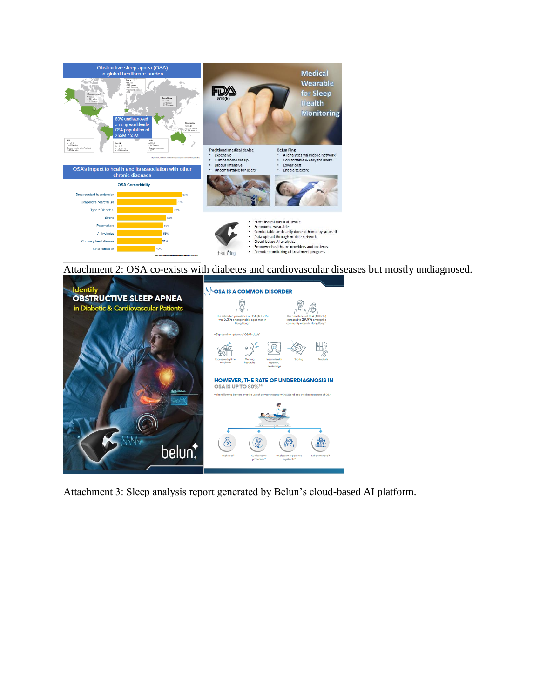

Attachment 2: OSA co-exists with diabetes and cardiovascular diseases but mostly undiagnosed.



Attachment 3: Sleep analysis report generated by Belun's cloud-based AI platform.